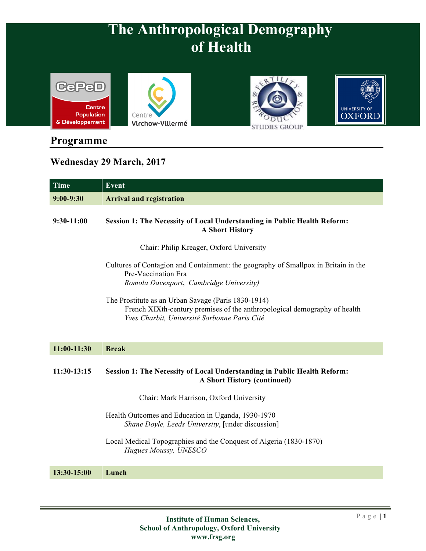





## **Programme**

## **Wednesday 29 March, 2017**

| <b>Time</b>   | <b>Event</b>                                                                                                                                                                     |
|---------------|----------------------------------------------------------------------------------------------------------------------------------------------------------------------------------|
| $9:00-9:30$   | <b>Arrival and registration</b>                                                                                                                                                  |
| $9:30-11:00$  | Session 1: The Necessity of Local Understanding in Public Health Reform:<br><b>A Short History</b>                                                                               |
|               | Chair: Philip Kreager, Oxford University                                                                                                                                         |
|               | Cultures of Contagion and Containment: the geography of Smallpox in Britain in the<br>Pre-Vaccination Era<br>Romola Davenport, Cambridge University)                             |
|               | The Prostitute as an Urban Savage (Paris 1830-1914)<br>French XIXth-century premises of the anthropological demography of health<br>Yves Charbit, Université Sorbonne Paris Cité |
| $11:00-11:30$ | <b>Break</b>                                                                                                                                                                     |
| $11:30-13:15$ | Session 1: The Necessity of Local Understanding in Public Health Reform:<br><b>A Short History (continued)</b>                                                                   |
|               | Chair: Mark Harrison, Oxford University                                                                                                                                          |
|               | Health Outcomes and Education in Uganda, 1930-1970<br>Shane Doyle, Leeds University, [under discussion]                                                                          |
|               | Local Medical Topographies and the Conquest of Algeria (1830-1870)<br>Hugues Moussy, UNESCO                                                                                      |
| 13:30-15:00   | Lunch                                                                                                                                                                            |
|               |                                                                                                                                                                                  |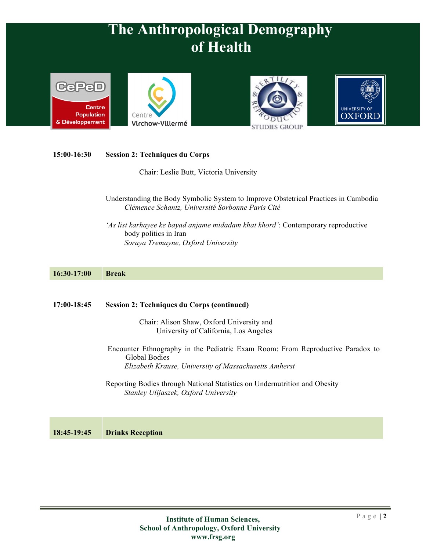







### **15:00-16:30 Session 2: Techniques du Corps**

Chair: Leslie Butt, Victoria University

- Understanding the Body Symbolic System to Improve Obstetrical Practices in Cambodia *Clémence Schantz, Université Sorbonne Paris Cité*
- *'As list karhayee ke bayad anjame midadam khat khord'*: Contemporary reproductive body politics in Iran *Soraya Tremayne, Oxford University*

### **16:30-17:00 Break**

#### **17:00-18:45 Session 2: Techniques du Corps (continued)**

Chair: Alison Shaw, Oxford University and University of California, Los Angeles

- Encounter Ethnography in the Pediatric Exam Room: From Reproductive Paradox to Global Bodies *Elizabeth Krause, University of Massachusetts Amherst*
- Reporting Bodies through National Statistics on Undernutrition and Obesity *Stanley Ulijaszek, Oxford University*

**18:45-19:45 Drinks Reception**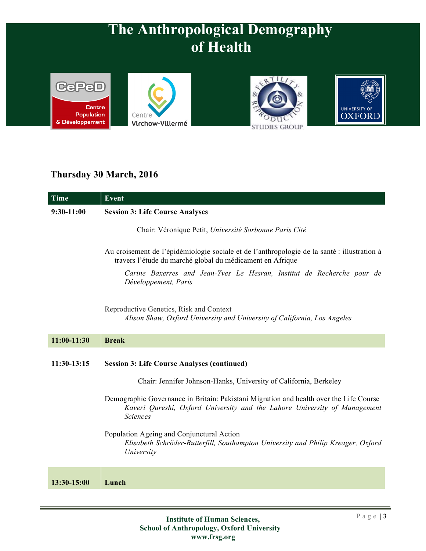





## **Thursday 30 March, 2016**

| <b>Time</b>   | <b>Event</b>                                                                                                                                                                           |
|---------------|----------------------------------------------------------------------------------------------------------------------------------------------------------------------------------------|
| $9:30-11:00$  | <b>Session 3: Life Course Analyses</b>                                                                                                                                                 |
|               | Chair: Véronique Petit, Université Sorbonne Paris Cité                                                                                                                                 |
|               | Au croisement de l'épidémiologie sociale et de l'anthropologie de la santé : illustration à<br>travers l'étude du marché global du médicament en Afrique                               |
|               | Carine Baxerres and Jean-Yves Le Hesran, Institut de Recherche pour de<br>Développement, Paris                                                                                         |
|               | Reproductive Genetics, Risk and Context<br>Alison Shaw, Oxford University and University of California, Los Angeles                                                                    |
| $11:00-11:30$ | <b>Break</b>                                                                                                                                                                           |
| 11:30-13:15   | <b>Session 3: Life Course Analyses (continued)</b>                                                                                                                                     |
|               | Chair: Jennifer Johnson-Hanks, University of California, Berkeley                                                                                                                      |
|               | Demographic Governance in Britain: Pakistani Migration and health over the Life Course<br>Kaveri Qureshi, Oxford University and the Lahore University of Management<br><b>Sciences</b> |
|               | Population Ageing and Conjunctural Action<br>Elisabeth Schröder-Butterfill, Southampton University and Philip Kreager, Oxford<br>University                                            |
| 13:30-15:00   | Lunch                                                                                                                                                                                  |
|               |                                                                                                                                                                                        |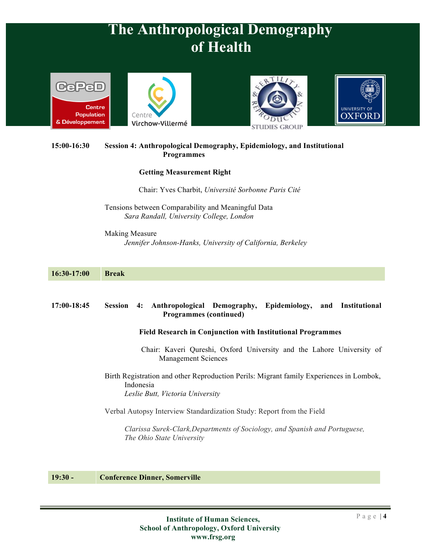







### **15:00-16:30 Session 4: Anthropological Demography, Epidemiology, and Institutional Programmes**

### **Getting Measurement Right**

Chair: Yves Charbit, *Université Sorbonne Paris Cité*

Tensions between Comparability and Meaningful Data *Sara Randall, University College, London*

Making Measure *Jennifer Johnson-Hanks, University of California, Berkeley*

| 16:30-17:00 | <b>Break</b>                                                                                                                             |
|-------------|------------------------------------------------------------------------------------------------------------------------------------------|
| 17:00-18:45 | Anthropological Demography, Epidemiology, and Institutional<br><b>Session</b><br>4:                                                      |
|             | <b>Programmes (continued)</b>                                                                                                            |
|             | <b>Field Research in Conjunction with Institutional Programmes</b>                                                                       |
|             | Chair: Kaveri Qureshi, Oxford University and the Lahore University of<br><b>Management Sciences</b>                                      |
|             | Birth Registration and other Reproduction Perils: Migrant family Experiences in Lombok,<br>Indonesia<br>Leslie Butt, Victoria University |
|             | Verbal Autopsy Interview Standardization Study: Report from the Field                                                                    |
|             | Clarissa Surek-Clark, Departments of Sociology, and Spanish and Portuguese,<br>The Ohio State University                                 |
|             |                                                                                                                                          |

#### **19:30 - Conference Dinner, Somerville**